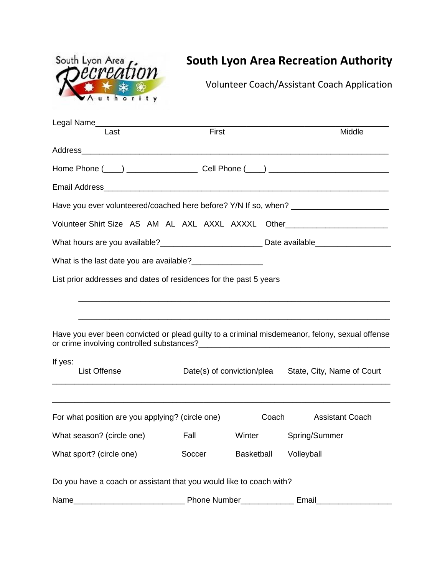| South Lyon Area <i>from</i> |  |  |
|-----------------------------|--|--|
|                             |  |  |
| VAuthority                  |  |  |

## **South Lyon Area Recreation Authority**

Volunteer Coach/Assistant Coach Application

| Last                                                                                                 | First                                                 |                   | Middle                 |  |  |  |  |
|------------------------------------------------------------------------------------------------------|-------------------------------------------------------|-------------------|------------------------|--|--|--|--|
|                                                                                                      |                                                       |                   |                        |  |  |  |  |
|                                                                                                      |                                                       |                   |                        |  |  |  |  |
|                                                                                                      |                                                       |                   |                        |  |  |  |  |
| Have you ever volunteered/coached here before? Y/N If so, when? _________________                    |                                                       |                   |                        |  |  |  |  |
| Volunteer Shirt Size AS AM AL AXL AXXL AXXXL Other______________________________                     |                                                       |                   |                        |  |  |  |  |
| What hours are you available?_______________________________Date available__________________________ |                                                       |                   |                        |  |  |  |  |
| What is the last date you are available?                                                             |                                                       |                   |                        |  |  |  |  |
| List prior addresses and dates of residences for the past 5 years                                    |                                                       |                   |                        |  |  |  |  |
| Have you ever been convicted or plead guilty to a criminal misdemeanor, felony, sexual offense       |                                                       |                   |                        |  |  |  |  |
| If yes:<br><b>List Offense</b>                                                                       | Date(s) of conviction/plea State, City, Name of Court |                   |                        |  |  |  |  |
| For what position are you applying? (circle one)                                                     |                                                       | Coach             | <b>Assistant Coach</b> |  |  |  |  |
| What season? (circle one)                                                                            | <b>Fall</b>                                           | Winter            | Spring/Summer          |  |  |  |  |
| What sport? (circle one)                                                                             | Soccer                                                | <b>Basketball</b> | Volleyball             |  |  |  |  |
| Do you have a coach or assistant that you would like to coach with?                                  |                                                       |                   |                        |  |  |  |  |
| Name                                                                                                 | Phone Number                                          |                   | <b>Email</b>           |  |  |  |  |